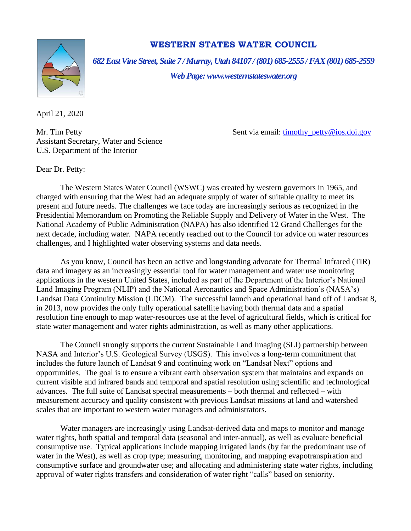

## **WESTERN STATES WATER COUNCIL**

*682 East Vine Street, Suite 7 / Murray, Utah 84107 / (801) 685-2555 / FAX (801) 685-2559*

*Web Page: www.westernstateswater.org*

April 21, 2020

Assistant Secretary, Water and Science U.S. Department of the Interior

Mr. Tim Petty **Sent via email:** [timothy\\_petty@ios.doi.gov](mailto:timothy_petty@ios.doi.gov)

Dear Dr. Petty:

The Western States Water Council (WSWC) was created by western governors in 1965, and charged with ensuring that the West had an adequate supply of water of suitable quality to meet its present and future needs. The challenges we face today are increasingly serious as recognized in the Presidential Memorandum on Promoting the Reliable Supply and Delivery of Water in the West. The National Academy of Public Administration (NAPA) has also identified 12 Grand Challenges for the next decade, including water. NAPA recently reached out to the Council for advice on water resources challenges, and I highlighted water observing systems and data needs.

As you know, Council has been an active and longstanding advocate for Thermal Infrared (TIR) data and imagery as an increasingly essential tool for water management and water use monitoring applications in the western United States, included as part of the Department of the Interior's National Land Imaging Program (NLIP) and the National Aeronautics and Space Administration's (NASA's) Landsat Data Continuity Mission (LDCM). The successful launch and operational hand off of Landsat 8, in 2013, now provides the only fully operational satellite having both thermal data and a spatial resolution fine enough to map water-resources use at the level of agricultural fields, which is critical for state water management and water rights administration, as well as many other applications.

The Council strongly supports the current Sustainable Land Imaging (SLI) partnership between NASA and Interior's U.S. Geological Survey (USGS). This involves a long-term commitment that includes the future launch of Landsat 9 and continuing work on "Landsat Next" options and opportunities. The goal is to ensure a vibrant earth observation system that maintains and expands on current visible and infrared bands and temporal and spatial resolution using scientific and technological advances. The full suite of Landsat spectral measurements – both thermal and reflected – with measurement accuracy and quality consistent with previous Landsat missions at land and watershed scales that are important to western water managers and administrators.

Water managers are increasingly using Landsat-derived data and maps to monitor and manage water rights, both spatial and temporal data (seasonal and inter-annual), as well as evaluate beneficial consumptive use. Typical applications include mapping irrigated lands (by far the predominant use of water in the West), as well as crop type; measuring, monitoring, and mapping evapotranspiration and consumptive surface and groundwater use; and allocating and administering state water rights, including approval of water rights transfers and consideration of water right "calls" based on seniority.